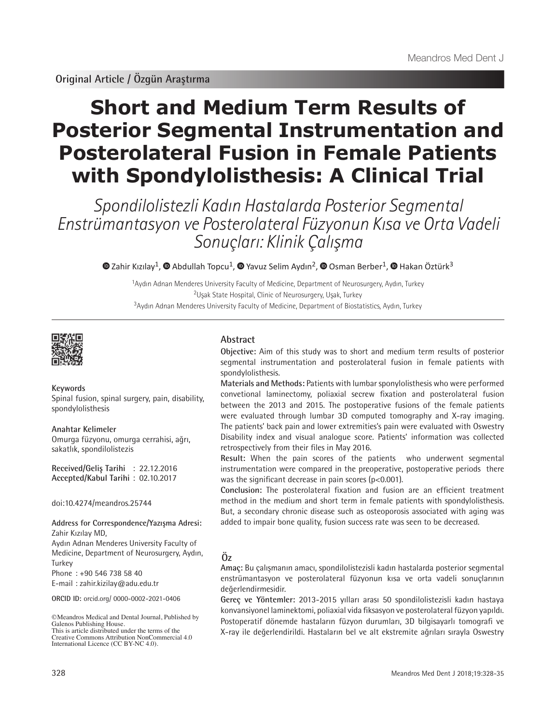# **Short and Medium Term Results of Posterior Segmental Instrumentation and Posterolateral Fusion in Female Patients with Spondylolisthesis: A Clinical Trial**

Spondilolistezli Kadın Hastalarda Posterior Segmental Enstrümantasyon ve Posterolateral Füzyonun Kısa ve Orta Vadeli Sonuçları: Klinik Çalışma

 $\bullet$ Zahir Kızılay<sup>1</sup>,  $\bullet$  Abdullah Topcu<sup>1</sup>,  $\bullet$  Yavuz Selim Aydın<sup>2</sup>,  $\bullet$  Osman Berber<sup>1</sup>,  $\bullet$  Hakan Öztürk<sup>3</sup>

<sup>1</sup>Aydın Adnan Menderes University Faculty of Medicine, Department of Neurosurgery, Aydın, Turkey <sup>2</sup>Uşak State Hospital, Clinic of Neurosurgery, Uşak, Turkey <sup>3</sup>Aydın Adnan Menderes University Faculty of Medicine, Department of Biostatistics, Aydın, Turkey



#### **Keywords**

Spinal fusion, spinal surgery, pain, disability, spondylolisthesis

**Anahtar Kelimeler** Omurga füzyonu, omurga cerrahisi, ağrı, sakatlık, spondilolistezis

**Received/Geliş Tarihi** : 22.12.2016 **Accepted/Kabul Tarihi** : 02.10.2017

doi:10.4274/meandros.25744

**Address for Correspondence/Yazışma Adresi:** Zahir Kızılay MD,

Aydın Adnan Menderes University Faculty of Medicine, Department of Neurosurgery, Aydın, Turkey

Phone : +90 546 738 58 40

E-mail : zahir.kizilay@adu.edu.tr

**ORCID ID:** orcid.org/ 0000-0002-2021-0406

©Meandros Medical and Dental Journal, Published by Galenos Publishing House. This is article distributed under the terms of the

Creative Commons Attribution NonCommercial 4.0 International Licence (CC BY-NC 4.0).

# **Abstract**

**Objective:** Aim of this study was to short and medium term results of posterior segmental instrumentation and posterolateral fusion in female patients with spondylolisthesis.

**Materials and Methods:** Patients with lumbar sponylolisthesis who were performed convetional laminectomy, poliaxial secrew fixation and posterolateral fusion between the 2013 and 2015. The postoperative fusions of the female patients were evaluated through lumbar 3D computed tomography and X-ray imaging. The patients' back pain and lower extremities's pain were evaluated with Oswestry Disability index and visual analogue score. Patients' information was collected retrospectively from their files in May 2016.

**Result:** When the pain scores of the patients who underwent segmental instrumentation were compared in the preoperative, postoperative periods there was the significant decrease in pain scores (p<0.001).

**Conclusion:** The posterolateral fixation and fusion are an efficient treatment method in the medium and short term in female patients with spondylolisthesis. But, a secondary chronic disease such as osteoporosis associated with aging was added to impair bone quality, fusion success rate was seen to be decreased.

# **Öz**

**Amaç:** Bu çalışmanın amacı, spondilolistezisli kadın hastalarda posterior segmental enstrümantasyon ve posterolateral füzyonun kısa ve orta vadeli sonuçlarının değerlendirmesidir.

**Gereç ve Yöntemler:** 2013-2015 yılları arası 50 spondilolistezisli kadın hastaya konvansiyonel laminektomi, poliaxial vida fiksasyon ve posterolateral füzyon yapıldı. Postoperatif dönemde hastaların füzyon durumları, 3D bilgisayarlı tomografi ve X-ray ile değerlendirildi. Hastaların bel ve alt ekstremite ağrıları sırayla Oswestry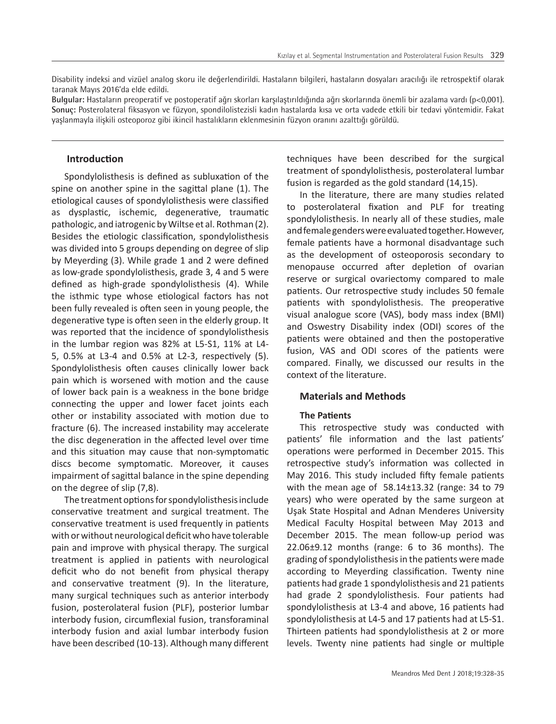Disability indeksi and vizüel analog skoru ile değerlendirildi. Hastaların bilgileri, hastaların dosyaları aracılığı ile retrospektif olarak taranak Mayıs 2016'da elde edildi.

**Bulgular:** Hastaların preoperatif ve postoperatif ağrı skorları karşılaştırıldığında ağrı skorlarında önemli bir azalama vardı (p<0,001). **Sonuç:** Posterolateral fiksasyon ve füzyon, spondilolistezisli kadın hastalarda kısa ve orta vadede etkili bir tedavi yöntemidir. Fakat yaşlanmayla ilişkili osteoporoz gibi ikincil hastalıkların eklenmesinin füzyon oranını azalttığı görüldü.

# **Introduction**

Spondylolisthesis is defined as subluxation of the spine on another spine in the sagittal plane (1). The etiological causes of spondylolisthesis were classified as dysplastic, ischemic, degenerative, traumatic pathologic, and iatrogenic by Wiltse et al. Rothman (2). Besides the etiologic classification, spondylolisthesis was divided into 5 groups depending on degree of slip by Meyerding (3). While grade 1 and 2 were defined as low-grade spondylolisthesis, grade 3, 4 and 5 were defined as high-grade spondylolisthesis (4). While the isthmic type whose etiological factors has not been fully revealed is often seen in young people, the degenerative type is often seen in the elderly group. It was reported that the incidence of spondylolisthesis in the lumbar region was 82% at L5-S1, 11% at L4- 5, 0.5% at L3-4 and 0.5% at L2-3, respectively (5). Spondylolisthesis often causes clinically lower back pain which is worsened with motion and the cause of lower back pain is a weakness in the bone bridge connecting the upper and lower facet joints each other or instability associated with motion due to fracture (6). The increased instability may accelerate the disc degeneration in the affected level over time and this situation may cause that non-symptomatic discs become symptomatic. Moreover, it causes impairment of sagittal balance in the spine depending on the degree of slip (7,8).

The treatment options for spondylolisthesis include conservative treatment and surgical treatment. The conservative treatment is used frequently in patients with or without neurological deficit who have tolerable pain and improve with physical therapy. The surgical treatment is applied in patients with neurological deficit who do not benefit from physical therapy and conservative treatment (9). In the literature, many surgical techniques such as anterior interbody fusion, posterolateral fusion (PLF), posterior lumbar interbody fusion, circumflexial fusion, transforaminal interbody fusion and axial lumbar interbody fusion have been described (10-13). Although many different techniques have been described for the surgical treatment of spondylolisthesis, posterolateral lumbar fusion is regarded as the gold standard (14,15).

In the literature, there are many studies related to posterolateral fixation and PLF for treating spondylolisthesis. In nearly all of these studies, male and female genders were evaluated together. However, female patients have a hormonal disadvantage such as the development of osteoporosis secondary to menopause occurred after depletion of ovarian reserve or surgical ovariectomy compared to male patients. Our retrospective study includes 50 female patients with spondylolisthesis. The preoperative visual analogue score (VAS), body mass index (BMI) and Oswestry Disability index (ODI) scores of the patients were obtained and then the postoperative fusion, VAS and ODI scores of the patients were compared. Finally, we discussed our results in the context of the literature.

# **Materials and Methods**

### **The Patients**

This retrospective study was conducted with patients' file information and the last patients' operations were performed in December 2015. This retrospective study's information was collected in May 2016. This study included fifty female patients with the mean age of  $58.14\pm13.32$  (range: 34 to 79 years) who were operated by the same surgeon at Uşak State Hospital and Adnan Menderes University Medical Faculty Hospital between May 2013 and December 2015. The mean follow-up period was 22.06±9.12 months (range: 6 to 36 months). The grading of spondylolisthesis in the patients were made according to Meyerding classification. Twenty nine patients had grade 1 spondylolisthesis and 21 patients had grade 2 spondylolisthesis. Four patients had spondylolisthesis at L3-4 and above, 16 patients had spondylolisthesis at L4-5 and 17 patients had at L5-S1. Thirteen patients had spondylolisthesis at 2 or more levels. Twenty nine patients had single or multiple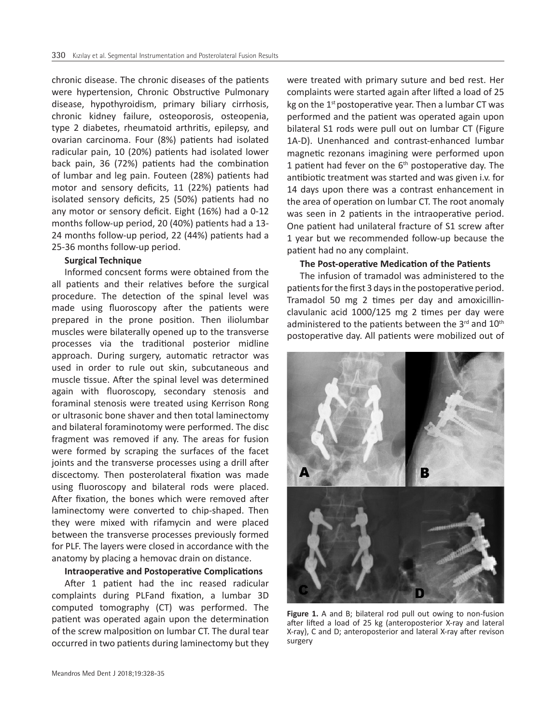chronic disease. The chronic diseases of the patients were hypertension, Chronic Obstructive Pulmonary disease, hypothyroidism, primary biliary cirrhosis, chronic kidney failure, osteoporosis, osteopenia, type 2 diabetes, rheumatoid arthritis, epilepsy, and ovarian carcinoma. Four (8%) patients had isolated radicular pain, 10 (20%) patients had isolated lower back pain, 36 (72%) patients had the combination of lumbar and leg pain. Fouteen (28%) patients had motor and sensory deficits, 11 (22%) patients had isolated sensory deficits, 25 (50%) patients had no any motor or sensory deficit. Eight (16%) had a 0-12 months follow-up period, 20 (40%) patients had a 13- 24 months follow-up period, 22 (44%) patients had a 25-36 months follow-up period.

# **Surgical Technique**

Informed concsent forms were obtained from the all patients and their relatives before the surgical procedure. The detection of the spinal level was made using fluoroscopy after the patients were prepared in the prone position. Then iliolumbar muscles were bilaterally opened up to the transverse processes via the traditional posterior midline approach. During surgery, automatic retractor was used in order to rule out skin, subcutaneous and muscle tissue. After the spinal level was determined again with fluoroscopy, secondary stenosis and foraminal stenosis were treated using Kerrison Rong or ultrasonic bone shaver and then total laminectomy and bilateral foraminotomy were performed. The disc fragment was removed if any. The areas for fusion were formed by scraping the surfaces of the facet joints and the transverse processes using a drill after discectomy. Then posterolateral fixation was made using fluoroscopy and bilateral rods were placed. After fixation, the bones which were removed after laminectomy were converted to chip-shaped. Then they were mixed with rifamycin and were placed between the transverse processes previously formed for PLF. The layers were closed in accordance with the anatomy by placing a hemovac drain on distance.

#### **Intraoperative and Postoperative Complications**

After 1 patient had the inc reased radicular complaints during PLFand fixation, a lumbar 3D computed tomography (CT) was performed. The patient was operated again upon the determination of the screw malposition on lumbar CT. The dural tear occurred in two patients during laminectomy but they were treated with primary suture and bed rest. Her complaints were started again after lifted a load of 25 kg on the  $1<sup>st</sup>$  postoperative year. Then a lumbar CT was performed and the patient was operated again upon bilateral S1 rods were pull out on lumbar CT (Figure 1A-D). Unenhanced and contrast-enhanced lumbar magnetic rezonans imagining were performed upon 1 patient had fever on the  $6<sup>th</sup>$  postoperative day. The antibiotic treatment was started and was given i.v. for 14 days upon there was a contrast enhancement in the area of operation on lumbar CT. The root anomaly was seen in 2 patients in the intraoperative period. One patient had unilateral fracture of S1 screw after 1 year but we recommended follow-up because the patient had no any complaint.

#### **The Post-operative Medication of the Patients**

The infusion of tramadol was administered to the patients for the first 3 days in the postoperative period. Tramadol 50 mg 2 times per day and amoxicillinclavulanic acid 1000/125 mg 2 times per day were administered to the patients between the  $3<sup>rd</sup>$  and  $10<sup>th</sup>$ postoperative day. All patients were mobilized out of



**Figure 1.** A and B; bilateral rod pull out owing to non-fusion after lifted a load of 25 kg (anteroposterior X-ray and lateral X-ray), C and D; anteroposterior and lateral X-ray after revison surgery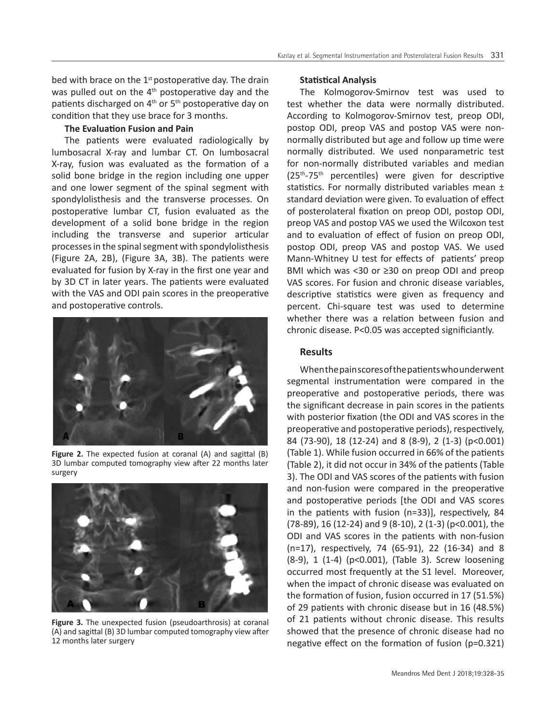bed with brace on the  $1<sup>st</sup>$  postoperative day. The drain was pulled out on the  $4<sup>th</sup>$  postoperative day and the patients discharged on  $4<sup>th</sup>$  or  $5<sup>th</sup>$  postoperative day on condition that they use brace for 3 months.

# **The Evaluation Fusion and Pain**

The patients were evaluated radiologically by lumbosacral X-ray and lumbar CT. On lumbosacral X-ray, fusion was evaluated as the formation of a solid bone bridge in the region including one upper and one lower segment of the spinal segment with spondylolisthesis and the transverse processes. On postoperative lumbar CT, fusion evaluated as the development of a solid bone bridge in the region including the transverse and superior articular processes in the spinal segment with spondylolisthesis (Figure 2A, 2B), (Figure 3A, 3B). The patients were evaluated for fusion by X-ray in the first one year and by 3D CT in later years. The patients were evaluated with the VAS and ODI pain scores in the preoperative and postoperative controls.



**Figure 2.** The expected fusion at coranal (A) and sagittal (B) 3D lumbar computed tomography view after 22 months later surgery



**Figure 3.** The unexpected fusion (pseudoarthrosis) at coranal (A) and sagittal (B) 3D lumbar computed tomography view after 12 months later surgery

#### **Statistical Analysis**

The Kolmogorov-Smirnov test was used to test whether the data were normally distributed. According to Kolmogorov-Smirnov test, preop ODI, postop ODI, preop VAS and postop VAS were nonnormally distributed but age and follow up time were normally distributed. We used nonparametric test for non-normally distributed variables and median  $(25<sup>th</sup>-75<sup>th</sup>$  percentiles) were given for descriptive statistics. For normally distributed variables mean ± standard deviation were given. To evaluation of effect of posterolateral fixation on preop ODI, postop ODI, preop VAS and postop VAS we used the Wilcoxon test and to evaluation of effect of fusion on preop ODI, postop ODI, preop VAS and postop VAS. We used Mann-Whitney U test for effects of patients' preop BMI which was <30 or ≥30 on preop ODI and preop VAS scores. For fusion and chronic disease variables, descriptive statistics were given as frequency and percent. Chi-square test was used to determine whether there was a relation between fusion and chronic disease. P<0.05 was accepted significiantly.

# **Results**

When the pain scores of the patients who underwent segmental instrumentation were compared in the preoperative and postoperative periods, there was the significant decrease in pain scores in the patients with posterior fixation (the ODI and VAS scores in the preoperative and postoperative periods), respectively, 84 (73-90), 18 (12-24) and 8 (8-9), 2 (1-3) (p<0.001) (Table 1). While fusion occurred in 66% of the patients (Table 2), it did not occur in 34% of the patients (Table 3). The ODI and VAS scores of the patients with fusion and non-fusion were compared in the preoperative and postoperative periods [the ODI and VAS scores in the patients with fusion (n=33)], respectively, 84 (78-89), 16 (12-24) and 9 (8-10), 2 (1-3) (p<0.001), the ODI and VAS scores in the patients with non-fusion (n=17), respectively, 74 (65-91), 22 (16-34) and 8 (8-9), 1 (1-4) (p<0.001), (Table 3). Screw loosening occurred most frequently at the S1 level. Moreover, when the impact of chronic disease was evaluated on the formation of fusion, fusion occurred in 17 (51.5%) of 29 patients with chronic disease but in 16 (48.5%) of 21 patients without chronic disease. This results showed that the presence of chronic disease had no negative effect on the formation of fusion (p=0.321)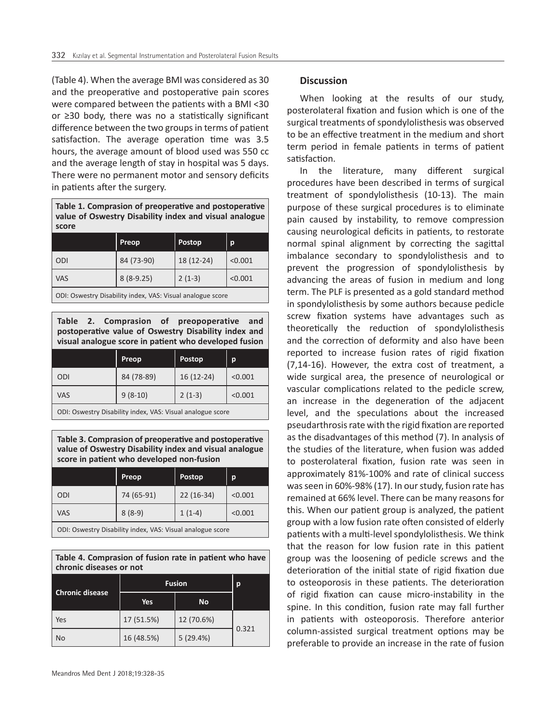(Table 4). When the average BMI was considered as 30 and the preoperative and postoperative pain scores were compared between the patients with a BMI ˂30 or ≥30 body, there was no a statistically significant difference between the two groups in terms of patient satisfaction. The average operation time was 3.5 hours, the average amount of blood used was 550 cc and the average length of stay in hospital was 5 days. There were no permanent motor and sensory deficits in patients after the surgery.

**Table 1. Comprasion of preoperative and postoperative value of Oswestry Disability index and visual analogue score**

|                 | <b>Preop</b> | <b>Postop</b> | p       |
|-----------------|--------------|---------------|---------|
| ODI             | 84 (73-90)   | 18 (12-24)    | < 0.001 |
| <b>VAS</b>      | $8(8-9.25)$  | $2(1-3)$      | < 0.001 |
| $- - -$<br>$ -$ |              |               |         |

ODI: Oswestry Disability index, VAS: Visual analogue score

**Table 2. Comprasion of preopoperative and postoperative value of Oswestry Disability index and visual analogue score in patient who developed fusion**

|            | Preop      | <b>Postop</b> | р       |
|------------|------------|---------------|---------|
| ODI        | 84 (78-89) | 16 (12-24)    | < 0.001 |
| <b>VAS</b> | $9(8-10)$  | $2(1-3)$      | < 0.001 |
|            |            |               |         |

ODI: Oswestry Disability index, VAS: Visual analogue score

**Table 3. Comprasion of preoperative and postoperative value of Oswestry Disability index and visual analogue score in patient who developed non-fusion**

|                                                            | <b>Preop</b> | <b>Postop</b> | р       |
|------------------------------------------------------------|--------------|---------------|---------|
| ODI                                                        | 74 (65-91)   | $22(16-34)$   | < 0.001 |
| <b>VAS</b>                                                 | $8(8-9)$     | $1(1-4)$      | < 0.001 |
| ODI: Oswestry Disability index, VAS: Visual analogue score |              |               |         |

| Table 4. Comprasion of fusion rate in patient who have |  |  |
|--------------------------------------------------------|--|--|
| chronic diseases or not                                |  |  |

| <b>Chronic disease</b> | <b>Fusion</b> |            | p     |
|------------------------|---------------|------------|-------|
|                        | Yes           | <b>No</b>  |       |
| Yes                    | 17 (51.5%)    | 12 (70.6%) |       |
| <b>No</b>              | 16 (48.5%)    | 5(29.4%)   | 0.321 |

# **Discussion**

When looking at the results of our study, posterolateral fixation and fusion which is one of the surgical treatments of spondylolisthesis was observed to be an effective treatment in the medium and short term period in female patients in terms of patient satisfaction.

In the literature, many different surgical procedures have been described in terms of surgical treatment of spondylolisthesis (10-13). The main purpose of these surgical procedures is to eliminate pain caused by instability, to remove compression causing neurological deficits in patients, to restorate normal spinal alignment by correcting the sagittal imbalance secondary to spondylolisthesis and to prevent the progression of spondylolisthesis by advancing the areas of fusion in medium and long term. The PLF is presented as a gold standard method in spondylolisthesis by some authors because pedicle screw fixation systems have advantages such as theoretically the reduction of spondylolisthesis and the correction of deformity and also have been reported to increase fusion rates of rigid fixation (7,14-16). However, the extra cost of treatment, a wide surgical area, the presence of neurological or vascular complications related to the pedicle screw, an increase in the degeneration of the adjacent level, and the speculations about the increased pseudarthrosis rate with the rigid fixation are reported as the disadvantages of this method (7). In analysis of the studies of the literature, when fusion was added to posterolateral fixation, fusion rate was seen in approximately 81%-100% and rate of clinical success was seen in 60%-98% (17). In our study, fusion rate has remained at 66% level. There can be many reasons for this. When our patient group is analyzed, the patient group with a low fusion rate often consisted of elderly patients with a multi-level spondylolisthesis. We think that the reason for low fusion rate in this patient group was the loosening of pedicle screws and the deterioration of the initial state of rigid fixation due to osteoporosis in these patients. The deterioration of rigid fixation can cause micro-instability in the spine. In this condition, fusion rate may fall further in patients with osteoporosis. Therefore anterior column-assisted surgical treatment options may be preferable to provide an increase in the rate of fusion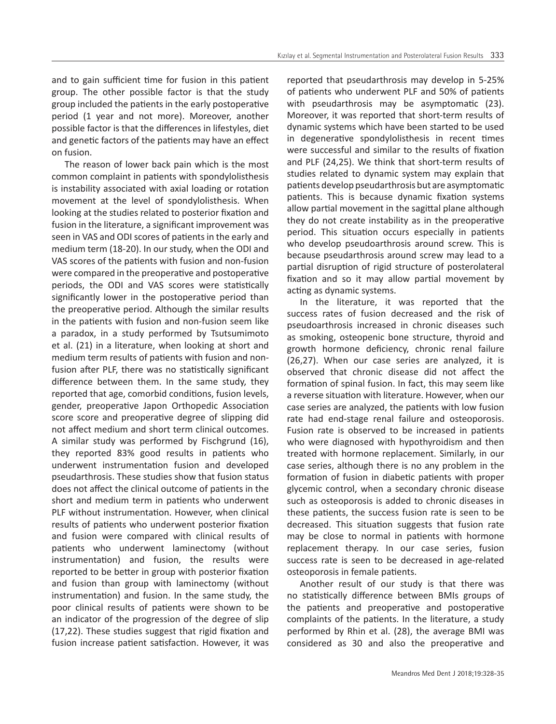and to gain sufficient time for fusion in this patient group. The other possible factor is that the study group included the patients in the early postoperative period (1 year and not more). Moreover, another possible factor is that the differences in lifestyles, diet and genetic factors of the patients may have an effect on fusion.

The reason of lower back pain which is the most common complaint in patients with spondylolisthesis is instability associated with axial loading or rotation movement at the level of spondylolisthesis. When looking at the studies related to posterior fixation and fusion in the literature, a significant improvement was seen in VAS and ODI scores of patients in the early and medium term (18-20). In our study, when the ODI and VAS scores of the patients with fusion and non-fusion were compared in the preoperative and postoperative periods, the ODI and VAS scores were statistically significantly lower in the postoperative period than the preoperative period. Although the similar results in the patients with fusion and non-fusion seem like a paradox, in a study performed by Tsutsumimoto et al. (21) in a literature, when looking at short and medium term results of patients with fusion and nonfusion after PLF, there was no statistically significant difference between them. In the same study, they reported that age, comorbid conditions, fusion levels, gender, preoperative Japon Orthopedic Association score score and preoperative degree of slipping did not affect medium and short term clinical outcomes. A similar study was performed by Fischgrund (16), they reported 83% good results in patients who underwent instrumentation fusion and developed pseudarthrosis. These studies show that fusion status does not affect the clinical outcome of patients in the short and medium term in patients who underwent PLF without instrumentation. However, when clinical results of patients who underwent posterior fixation and fusion were compared with clinical results of patients who underwent laminectomy (without instrumentation) and fusion, the results were reported to be better in group with posterior fixation and fusion than group with laminectomy (without instrumentation) and fusion. In the same study, the poor clinical results of patients were shown to be an indicator of the progression of the degree of slip (17,22). These studies suggest that rigid fixation and fusion increase patient satisfaction. However, it was

reported that pseudarthrosis may develop in 5-25% of patients who underwent PLF and 50% of patients with pseudarthrosis may be asymptomatic (23). Moreover, it was reported that short-term results of dynamic systems which have been started to be used in degenerative spondylolisthesis in recent times were successful and similar to the results of fixation and PLF (24,25). We think that short-term results of studies related to dynamic system may explain that patients develop pseudarthrosis but are asymptomatic patients. This is because dynamic fixation systems allow partial movement in the sagittal plane although they do not create instability as in the preoperative period. This situation occurs especially in patients who develop pseudoarthrosis around screw. This is because pseudarthrosis around screw may lead to a partial disruption of rigid structure of posterolateral fixation and so it may allow partial movement by acting as dynamic systems.

In the literature, it was reported that the success rates of fusion decreased and the risk of pseudoarthrosis increased in chronic diseases such as smoking, osteopenic bone structure, thyroid and growth hormone deficiency, chronic renal failure (26,27). When our case series are analyzed, it is observed that chronic disease did not affect the formation of spinal fusion. In fact, this may seem like a reverse situation with literature. However, when our case series are analyzed, the patients with low fusion rate had end-stage renal failure and osteoporosis. Fusion rate is observed to be increased in patients who were diagnosed with hypothyroidism and then treated with hormone replacement. Similarly, in our case series, although there is no any problem in the formation of fusion in diabetic patients with proper glycemic control, when a secondary chronic disease such as osteoporosis is added to chronic diseases in these patients, the success fusion rate is seen to be decreased. This situation suggests that fusion rate may be close to normal in patients with hormone replacement therapy. In our case series, fusion success rate is seen to be decreased in age-related osteoporosis in female patients.

Another result of our study is that there was no statistically difference between BMIs groups of the patients and preoperative and postoperative complaints of the patients. In the literature, a study performed by Rhin et al. (28), the average BMI was considered as 30 and also the preoperative and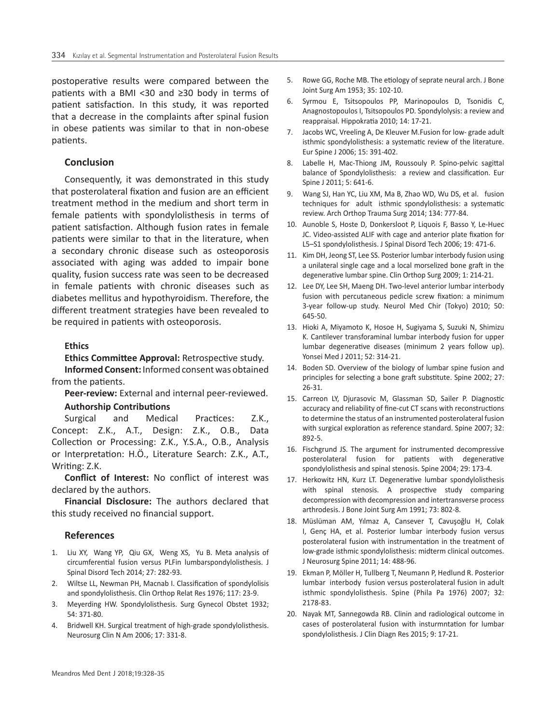postoperative results were compared between the patients with a BMI ˂30 and ≥30 body in terms of patient satisfaction. In this study, it was reported that a decrease in the complaints after spinal fusion in obese patients was similar to that in non-obese patients.

# **Conclusion**

Consequently, it was demonstrated in this study that posterolateral fixation and fusion are an efficient treatment method in the medium and short term in female patients with spondylolisthesis in terms of patient satisfaction. Although fusion rates in female patients were similar to that in the literature, when a secondary chronic disease such as osteoporosis associated with aging was added to impair bone quality, fusion success rate was seen to be decreased in female patients with chronic diseases such as diabetes mellitus and hypothyroidism. Therefore, the different treatment strategies have been revealed to be required in patients with osteoporosis.

# **Ethics**

**Ethics Committee Approval:** Retrospective study. **Informed Consent:** Informed consent was obtained from the patients.

**Peer-review:** External and internal peer-reviewed.

# **Authorship Contributions**

Surgical and Medical Practices: Z.K., Concept: Z.K., A.T., Design: Z.K., O.B., Data Collection or Processing: Z.K., Y.S.A., O.B., Analysis or Interpretation: H.Ö., Literature Search: Z.K., A.T., Writing: Z.K.

**Conflict of Interest:** No conflict of interest was declared by the authors.

**Financial Disclosure:** The authors declared that this study received no financial support.

# **References**

- 1. Liu XY, Wang YP, Qiu GX, Weng XS, Yu B. Meta analysis of circumferential fusion versus PLFin lumbarspondylolisthesis. J Spinal Disord Tech 2014; 27: 282-93.
- 2. Wiltse LL, Newman PH, Macnab I. Classification of spondylolisis and spondylolisthesis. Clin Orthop Relat Res 1976; 117: 23-9.
- 3. Meyerding HW. Spondylolisthesis. Surg Gynecol Obstet 1932; 54: 371-80.
- 4. Bridwell KH. Surgical treatment of high-grade spondylolisthesis. Neurosurg Clin N Am 2006; 17: 331-8.
- 5. Rowe GG, Roche MB. The etiology of seprate neural arch. J Bone Joint Surg Am 1953; 35: 102-10.
- 6. Syrmou E, Tsitsopoulos PP, Marinopoulos D, Tsonidis C, Anagnostopoulos I, Tsitsopoulos PD. Spondylolysis: a review and reappraisal. Hippokratia 2010; 14: 17-21.
- 7. Jacobs WC, Vreeling A, De Kleuver M.Fusion for low- grade adult isthmic spondylolisthesis: a systematic review of the literature. Eur Spine J 2006; 15: 391-402.
- 8. Labelle H, Mac-Thiong JM, Roussouly P. Spino-pelvic sagittal balance of Spondylolisthesis: a review and classification. Eur Spine J 2011; 5: 641-6.
- 9. Wang SJ, Han YC, Liu XM, Ma B, Zhao WD, Wu DS, et al. fusion techniques for adult isthmic spondylolisthesis: a systematic review. Arch Orthop Trauma Surg 2014; 134: 777-84.
- 10. Aunoble S, Hoste D, Donkersloot P, Liquois F, Basso Y, Le-Huec JC. Video-assisted ALIF with cage and anterior plate fixation for L5–S1 spondylolisthesis. J Spinal Disord Tech 2006; 19: 471-6.
- 11. Kim DH, Jeong ST, Lee SS. Posterior lumbar interbody fusion using a unilateral single cage and a local morselized bone graft in the degenerative lumbar spine. Clin Orthop Surg 2009; 1: 214-21.
- 12. Lee DY, Lee SH, Maeng DH. Two-level anterior lumbar interbody fusion with percutaneous pedicle screw fixation: a minimum 3-year follow-up study. Neurol Med Chir (Tokyo) 2010; 50: 645-50.
- 13. Hioki A, Miyamoto K, Hosoe H, Sugiyama S, Suzuki N, Shimizu K. Cantilever transforaminal lumbar interbody fusion for upper lumbar degenerative diseases (minimum 2 years follow up). Yonsei Med J 2011; 52: 314-21.
- 14. Boden SD. Overview of the biology of lumbar spine fusion and principles for selecting a bone graft substitute. Spine 2002; 27: 26-31.
- 15. Carreon LY, Djurasovic M, Glassman SD, Sailer P. Diagnostic accuracy and reliability of fine-cut CT scans with reconstructions to determine the status of an instrumented posterolateral fusion with surgical exploration as reference standard. Spine 2007; 32: 892-5.
- 16. Fischgrund JS. The argument for instrumented decompressive posterolateral fusion for patients with degenerative spondylolisthesis and spinal stenosis. Spine 2004; 29: 173-4.
- 17. Herkowitz HN, Kurz LT. Degenerative lumbar spondylolisthesis with spinal stenosis. A prospective study comparing decompression with decompression and intertransverse process arthrodesis. J Bone Joint Surg Am 1991; 73: 802-8.
- 18. Müslüman AM, Yılmaz A, Cansever T, Cavuşoğlu H, Colak I, Genç HA, et al. Posterior lumbar interbody fusion versus posterolateral fusion with instrumentation in the treatment of low-grade isthmic spondylolisthesis: midterm clinical outcomes. J Neurosurg Spine 2011; 14: 488-96.
- 19. Ekman P, Möller H, Tullberg T, Neumann P, Hedlund R. Posterior lumbar interbody fusion versus posterolateral fusion in adult isthmic spondylolisthesis. Spine (Phila Pa 1976) 2007; 32: 2178-83.
- 20. Nayak MT, Sannegowda RB. Clinin and radiological outcome in cases of posterolateral fusion with insturmntation for lumbar spondylolisthesis. J Clin Diagn Res 2015; 9: 17-21.